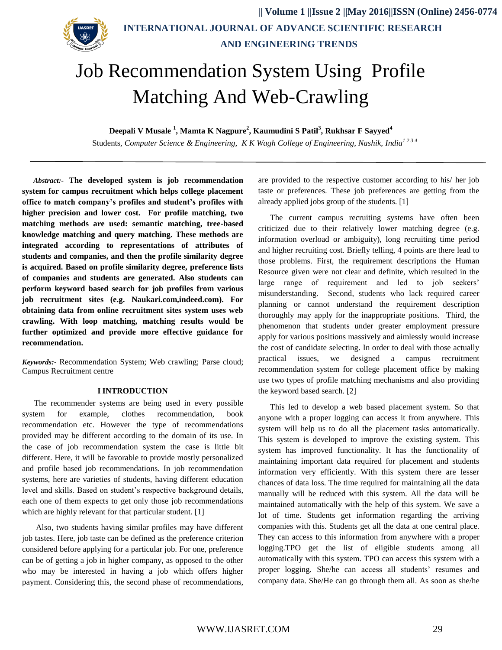

# Job Recommendation System Using Profile Matching And Web-Crawling

**Deepali V Musale <sup>1</sup> , Mamta K Nagpure<sup>2</sup> , Kaumudini S Patil<sup>3</sup> , Rukhsar F Sayyed<sup>4</sup>**

Students*, Computer Science & Engineering, K K Wagh College of Engineering, Nashik, India1 2 3 4*

*Abstract:-* **The developed system is job recommendation system for campus recruitment which helps college placement office to match company's profiles and student's profiles with higher precision and lower cost. For profile matching, two matching methods are used: semantic matching, tree-based knowledge matching and query matching. These methods are integrated according to representations of attributes of students and companies, and then the profile similarity degree is acquired. Based on profile similarity degree, preference lists of companies and students are generated. Also students can perform keyword based search for job profiles from various job recruitment sites (e.g. Naukari.com,indeed.com). For obtaining data from online recruitment sites system uses web crawling. With loop matching, matching results would be further optimized and provide more effective guidance for recommendation.**

*Keywords:-* Recommendation System; Web crawling; Parse cloud; Campus Recruitment centre

#### **I INTRODUCTION**

The recommender systems are being used in every possible system for example, clothes recommendation, book recommendation etc. However the type of recommendations provided may be different according to the domain of its use. In the case of job recommendation system the case is little bit different. Here, it will be favorable to provide mostly personalized and profile based job recommendations. In job recommendation systems, here are varieties of students, having different education level and skills. Based on student's respective background details, each one of them expects to get only those job recommendations which are highly relevant for that particular student. [1]

Also, two students having similar profiles may have different job tastes. Here, job taste can be defined as the preference criterion considered before applying for a particular job. For one, preference can be of getting a job in higher company, as opposed to the other who may be interested in having a job which offers higher payment. Considering this, the second phase of recommendations, are provided to the respective customer according to his/ her job taste or preferences. These job preferences are getting from the already applied jobs group of the students. [1]

The current campus recruiting systems have often been criticized due to their relatively lower matching degree (e.g. information overload or ambiguity), long recruiting time period and higher recruiting cost. Briefly telling, 4 points are there lead to those problems. First, the requirement descriptions the Human Resource given were not clear and definite, which resulted in the large range of requirement and led to job seekers' misunderstanding. Second, students who lack required career planning or cannot understand the requirement description thoroughly may apply for the inappropriate positions. Third, the phenomenon that students under greater employment pressure apply for various positions massively and aimlessly would increase the cost of candidate selecting. In order to deal with those actually practical issues, we designed a campus recruitment recommendation system for college placement office by making use two types of profile matching mechanisms and also providing the keyword based search. [2]

This led to develop a web based placement system. So that anyone with a proper logging can access it from anywhere. This system will help us to do all the placement tasks automatically. This system is developed to improve the existing system. This system has improved functionality. It has the functionality of maintaining important data required for placement and students information very efficiently. With this system there are lesser chances of data loss. The time required for maintaining all the data manually will be reduced with this system. All the data will be maintained automatically with the help of this system. We save a lot of time. Students get information regarding the arriving companies with this. Students get all the data at one central place. They can access to this information from anywhere with a proper logging.TPO get the list of eligible students among all automatically with this system. TPO can access this system with a proper logging. She/he can access all students' resumes and company data. She/He can go through them all. As soon as she/he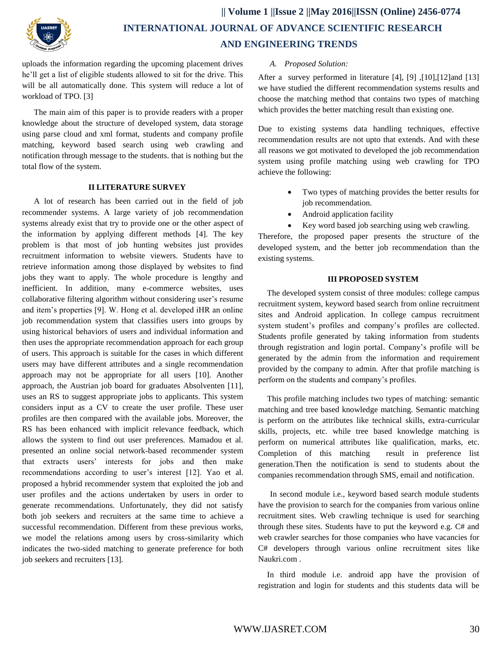

uploads the information regarding the upcoming placement drives he'll get a list of eligible students allowed to sit for the drive. This will be all automatically done. This system will reduce a lot of workload of TPO. [3]

The main aim of this paper is to provide readers with a proper knowledge about the structure of developed system, data storage using parse cloud and xml format, students and company profile matching, keyword based search using web crawling and notification through message to the students. that is nothing but the total flow of the system.

#### **II LITERATURE SURVEY**

A lot of research has been carried out in the field of job recommender systems. A large variety of job recommendation systems already exist that try to provide one or the other aspect of the information by applying different methods [4]. The key problem is that most of job hunting websites just provides recruitment information to website viewers. Students have to retrieve information among those displayed by websites to find jobs they want to apply. The whole procedure is lengthy and inefficient. In addition, many e-commerce websites, uses collaborative filtering algorithm without considering user's resume and item's properties [9]. W. Hong et al. developed iHR an online job recommendation system that classifies users into groups by using historical behaviors of users and individual information and then uses the appropriate recommendation approach for each group of users. This approach is suitable for the cases in which different users may have different attributes and a single recommendation approach may not be appropriate for all users [10]. Another approach, the Austrian job board for graduates Absolventen [11], uses an RS to suggest appropriate jobs to applicants. This system considers input as a CV to create the user profile. These user profiles are then compared with the available jobs. Moreover, the RS has been enhanced with implicit relevance feedback, which allows the system to find out user preferences. Mamadou et al. presented an online social network-based recommender system that extracts users' interests for jobs and then make recommendations according to user's interest [12]. Yao et al. proposed a hybrid recommender system that exploited the job and user profiles and the actions undertaken by users in order to generate recommendations. Unfortunately, they did not satisfy both job seekers and recruiters at the same time to achieve a successful recommendation. Different from these previous works, we model the relations among users by cross-similarity which indicates the two-sided matching to generate preference for both job seekers and recruiters [13].

#### *A. Proposed Solution:*

After a survey performed in literature [4], [9] ,[10],[12]and [13] we have studied the different recommendation systems results and choose the matching method that contains two types of matching which provides the better matching result than existing one.

Due to existing systems data handling techniques, effective recommendation results are not upto that extends. And with these all reasons we got motivated to developed the job recommendation system using profile matching using web crawling for TPO achieve the following:

- Two types of matching provides the better results for job recommendation.
- Android application facility
- Key word based job searching using web crawling.

Therefore, the proposed paper presents the structure of the developed system, and the better job recommendation than the existing systems.

#### **III PROPOSED SYSTEM**

The developed system consist of three modules: college campus recruitment system, keyword based search from online recruitment sites and Android application. In college campus recruitment system student's profiles and company's profiles are collected. Students profile generated by taking information from students through registration and login portal. Company's profile will be generated by the admin from the information and requirement provided by the company to admin. After that profile matching is perform on the students and company's profiles.

This profile matching includes two types of matching: semantic matching and tree based knowledge matching. Semantic matching is perform on the attributes like technical skills, extra-curricular skills, projects, etc. while tree based knowledge matching is perform on numerical attributes like qualification, marks, etc. Completion of this matching result in preference list generation.Then the notification is send to students about the companies recommendation through SMS, email and notification.

In second module i.e., keyword based search module students have the provision to search for the companies from various online recruitment sites. Web crawling technique is used for searching through these sites. Students have to put the keyword e.g. C# and web crawler searches for those companies who have vacancies for C# developers through various online recruitment sites like Naukri.com .

In third module i.e. android app have the provision of registration and login for students and this students data will be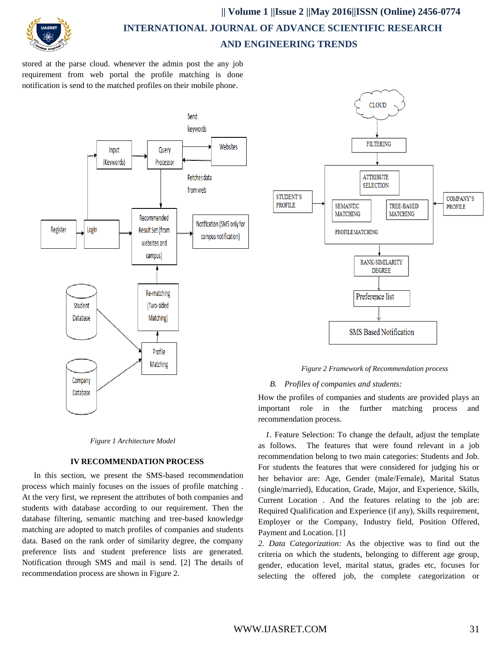

stored at the parse cloud. whenever the admin post the any job requirement from web portal the profile matching is done notification is send to the matched profiles on their mobile phone.





## **IV RECOMMENDATION PROCESS**

In this section, we present the SMS-based recommendation process which mainly focuses on the issues of profile matching . At the very first, we represent the attributes of both companies and students with database according to our requirement. Then the database filtering, semantic matching and tree-based knowledge matching are adopted to match profiles of companies and students data. Based on the rank order of similarity degree, the company preference lists and student preference lists are generated. Notification through SMS and mail is send. [2] The details of recommendation process are shown in Figure 2.



*Figure 2 Framework of Recommendation process*

## *B. Profiles of companies and students:*

How the profiles of companies and students are provided plays an important role in the further matching process and recommendation process.

*1.* Feature Selection: To change the default, adjust the template as follows. The features that were found relevant in a job recommendation belong to two main categories: Students and Job. For students the features that were considered for judging his or her behavior are: Age, Gender (male/Female), Marital Status (single/married), Education, Grade, Major, and Experience, Skills, Current Location . And the features relating to the job are: Required Qualification and Experience (if any), Skills requirement, Employer or the Company, Industry field, Position Offered, Payment and Location. [1]

*2. Data Categorization:* As the objective was to find out the criteria on which the students, belonging to different age group, gender, education level, marital status, grades etc, focuses for selecting the offered job, the complete categorization or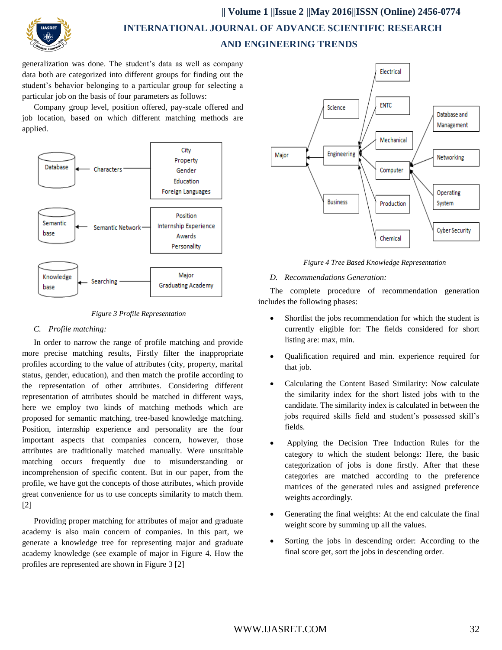

generalization was done. The student's data as well as company data both are categorized into different groups for finding out the student's behavior belonging to a particular group for selecting a particular job on the basis of four parameters as follows:

Company group level, position offered, pay-scale offered and job location, based on which different matching methods are applied.





## *C. Profile matching:*

In order to narrow the range of profile matching and provide more precise matching results, Firstly filter the inappropriate profiles according to the value of attributes (city, property, marital status, gender, education), and then match the profile according to the representation of other attributes. Considering different representation of attributes should be matched in different ways, here we employ two kinds of matching methods which are proposed for semantic matching, tree-based knowledge matching. Position, internship experience and personality are the four important aspects that companies concern, however, those attributes are traditionally matched manually. Were unsuitable matching occurs frequently due to misunderstanding or incomprehension of specific content. But in our paper, from the profile, we have got the concepts of those attributes, which provide great convenience for us to use concepts similarity to match them. [2]

Providing proper matching for attributes of major and graduate academy is also main concern of companies. In this part, we generate a knowledge tree for representing major and graduate academy knowledge (see example of major in Figure 4. How the profiles are represented are shown in Figure 3 [2]



*Figure 4 Tree Based Knowledge Representation*

#### *D. Recommendations Generation:*

The complete procedure of recommendation generation includes the following phases:

- Shortlist the jobs recommendation for which the student is currently eligible for: The fields considered for short listing are: max, min.
- Qualification required and min. experience required for that job.
- Calculating the Content Based Similarity: Now calculate the similarity index for the short listed jobs with to the candidate. The similarity index is calculated in between the jobs required skills field and student's possessed skill's fields.
- Applying the Decision Tree Induction Rules for the category to which the student belongs: Here, the basic categorization of jobs is done firstly. After that these categories are matched according to the preference matrices of the generated rules and assigned preference weights accordingly.
- Generating the final weights: At the end calculate the final weight score by summing up all the values.
- Sorting the jobs in descending order: According to the final score get, sort the jobs in descending order.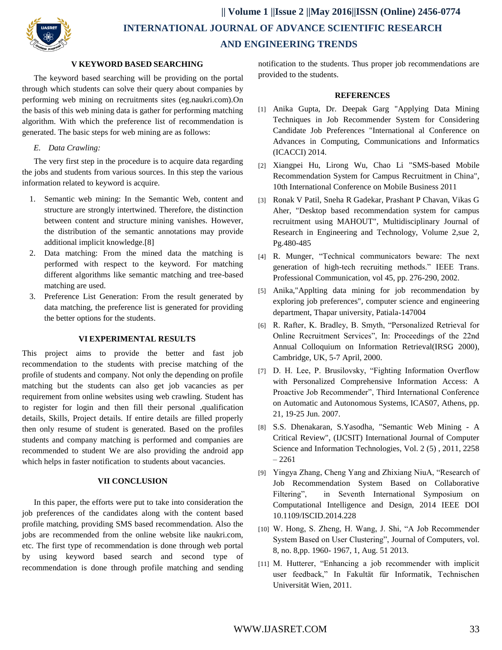

## **V KEYWORD BASED SEARCHING**

The keyword based searching will be providing on the portal through which students can solve their query about companies by performing web mining on recruitments sites (eg.naukri.com).On the basis of this web mining data is gather for performing matching algorithm. With which the preference list of recommendation is generated. The basic steps for web mining are as follows:

## *E. Data Crawling:*

The very first step in the procedure is to acquire data regarding the jobs and students from various sources. In this step the various information related to keyword is acquire.

- 1. Semantic web mining: In the Semantic Web, content and structure are strongly intertwined. Therefore, the distinction between content and structure mining vanishes. However, the distribution of the semantic annotations may provide additional implicit knowledge.[8]
- 2. Data matching: From the mined data the matching is performed with respect to the keyword. For matching different algorithms like semantic matching and tree-based matching are used.
- 3. Preference List Generation: From the result generated by data matching, the preference list is generated for providing the better options for the students.

## **VI EXPERIMENTAL RESULTS**

This project aims to provide the better and fast job recommendation to the students with precise matching of the profile of students and company. Not only the depending on profile matching but the students can also get job vacancies as per requirement from online websites using web crawling. Student has to register for login and then fill their personal ,qualification details, Skills, Project details. If entire details are filled properly then only resume of student is generated. Based on the profiles students and company matching is performed and companies are recommended to student We are also providing the android app which helps in faster notification to students about vacancies.

## **VII CONCLUSION**

In this paper, the efforts were put to take into consideration the job preferences of the candidates along with the content based profile matching, providing SMS based recommendation. Also the jobs are recommended from the online website like naukri.com, etc. The first type of recommendation is done through web portal by using keyword based search and second type of recommendation is done through profile matching and sending

notification to the students. Thus proper job recommendations are provided to the students.

#### **REFERENCES**

- [1] Anika Gupta, Dr. Deepak Garg "Applying Data Mining Techniques in Job Recommender System for Considering Candidate Job Preferences "International al Conference on Advances in Computing, Communications and Informatics (ICACCI) 2014.
- [2] Xiangpei Hu, Lirong Wu, Chao Li "SMS-based Mobile Recommendation System for Campus Recruitment in China", 10th International Conference on Mobile Business 2011
- [3] Ronak V Patil, Sneha R Gadekar, Prashant P Chavan, Vikas G Aher, "Desktop based recommendation system for campus recruitment using MAHOUT", Multidisciplinary Journal of Research in Engineering and Technology, Volume 2,sue 2, Pg.480-485
- [4] R. Munger, "Technical communicators beware: The next generation of high-tech recruiting methods." IEEE Trans. Professional Communication, vol 45, pp. 276-290, 2002.
- [5] Anika,"Applting data mining for job recommendation by exploring job preferences", computer science and engineering department, Thapar university, Patiala-147004
- [6] R. Rafter, K. Bradley, B. Smyth, "Personalized Retrieval for Online Recruitment Services", In: Proceedings of the 22nd Annual Colloquium on Information Retrieval(IRSG 2000), Cambridge, UK, 5-7 April, 2000.
- [7] D. H. Lee, P. Brusilovsky, "Fighting Information Overflow with Personalized Comprehensive Information Access: A Proactive Job Recommender", Third International Conference on Automatic and Autonomous Systems, ICAS07, Athens, pp. 21, 19-25 Jun. 2007.
- [8] S.S. Dhenakaran, S.Yasodha, "Semantic Web Mining A Critical Review", (IJCSIT) International Journal of Computer Science and Information Technologies, Vol. 2 (5) , 2011, 2258 – 2261
- [9] Yingya Zhang, Cheng Yang and Zhixiang NiuA, "Research of Job Recommendation System Based on Collaborative Filtering", in Seventh International Symposium on Computational Intelligence and Design, 2014 IEEE DOI 10.1109/ISCID.2014.228
- [10] W. Hong, S. Zheng, H. Wang, J. Shi, "A Job Recommender System Based on User Clustering", Journal of Computers, vol. 8, no. 8,pp. 1960- 1967, 1, Aug. 51 2013.
- [11] M. Hutterer, "Enhancing a job recommender with implicit user feedback," In Fakultät für Informatik, Technischen Universität Wien, 2011.